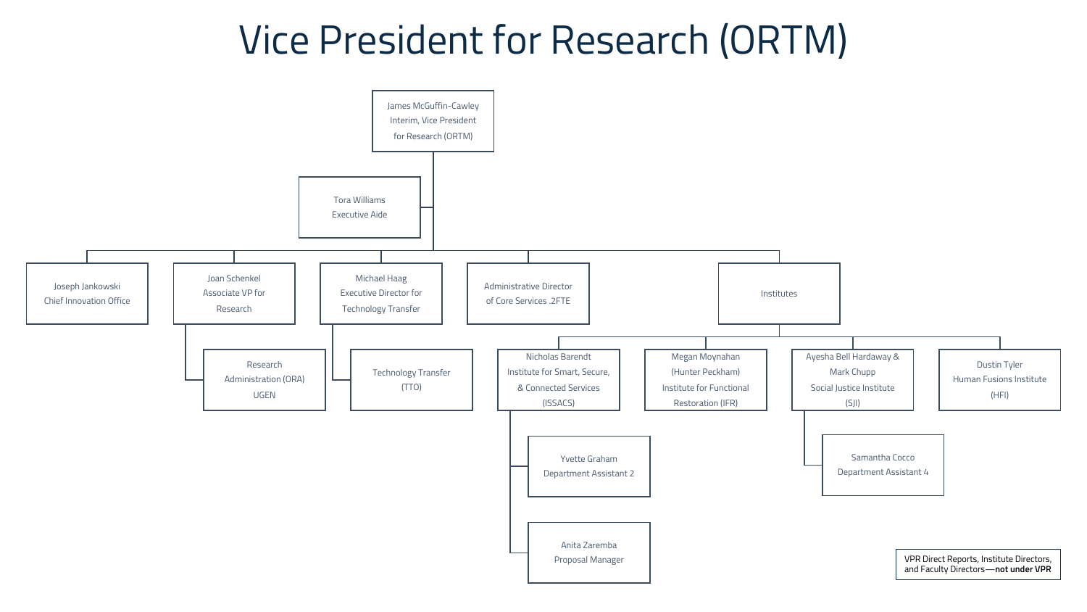## Vice President for Research (ORTM)

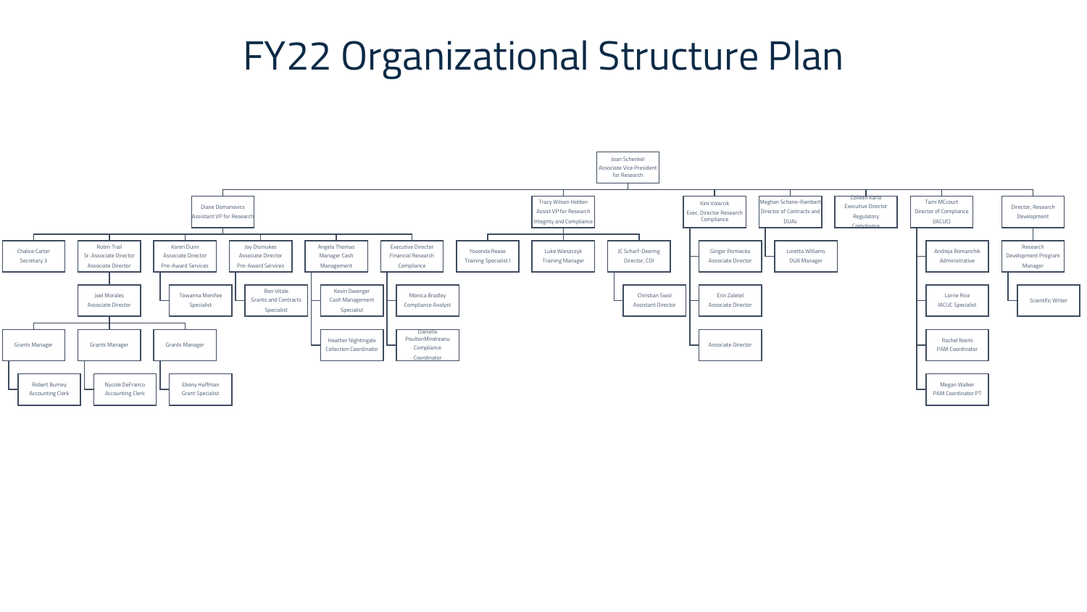## FY22 Organizational Structure Plan